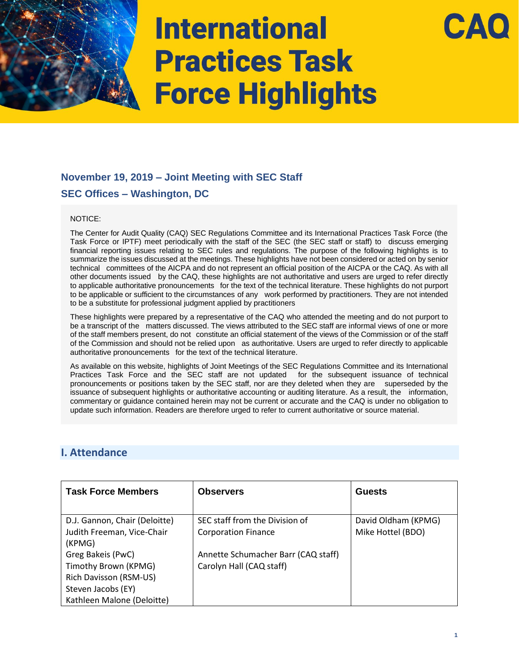

## **November 19, 2019 – Joint Meeting with SEC Staff SEC Offices – Washington, DC**

### NOTICE:

The Center for Audit Quality (CAQ) SEC Regulations Committee and its International Practices Task Force (the Task Force or IPTF) meet periodically with the staff of the SEC (the SEC staff or staff) to discuss emerging financial reporting issues relating to SEC rules and regulations. The purpose of the following highlights is to summarize the issues discussed at the meetings. These highlights have not been considered or acted on by senior technical committees of the AICPA and do not represent an official position of the AICPA or the CAQ. As with all other documents issued by the CAQ, these highlights are not authoritative and users are urged to refer directly to applicable authoritative pronouncements for the text of the technical literature. These highlights do not purport to be applicable or sufficient to the circumstances of any work performed by practitioners. They are not intended to be a substitute for professional judgment applied by practitioners

These highlights were prepared by a representative of the CAQ who attended the meeting and do not purport to be a transcript of the matters discussed. The views attributed to the SEC staff are informal views of one or more of the staff members present, do not constitute an official statement of the views of the Commission or of the staff of the Commission and should not be relied upon as authoritative. Users are urged to refer directly to applicable authoritative pronouncements for the text of the technical literature.

As available on this website, highlights of Joint Meetings of the SEC Regulations Committee and its International Practices Task Force and the SEC staff are not updated for the subsequent issuance of technical pronouncements or positions taken by the SEC staff, nor are they deleted when they are superseded by the issuance of subsequent highlights or authoritative accounting or auditing literature. As a result, the information, commentary or guidance contained herein may not be current or accurate and the CAQ is under no obligation to update such information. Readers are therefore urged to refer to current authoritative or source material.

### **I. Attendance**

| <b>Task Force Members</b>            | <b>Observers</b>                    | <b>Guests</b>       |
|--------------------------------------|-------------------------------------|---------------------|
| D.J. Gannon, Chair (Deloitte)        | SEC staff from the Division of      | David Oldham (KPMG) |
| Judith Freeman, Vice-Chair<br>(KPMG) | <b>Corporation Finance</b>          | Mike Hottel (BDO)   |
| Greg Bakeis (PwC)                    | Annette Schumacher Barr (CAQ staff) |                     |
| Timothy Brown (KPMG)                 | Carolyn Hall (CAQ staff)            |                     |
| Rich Davisson (RSM-US)               |                                     |                     |
| Steven Jacobs (EY)                   |                                     |                     |
| Kathleen Malone (Deloitte)           |                                     |                     |

CA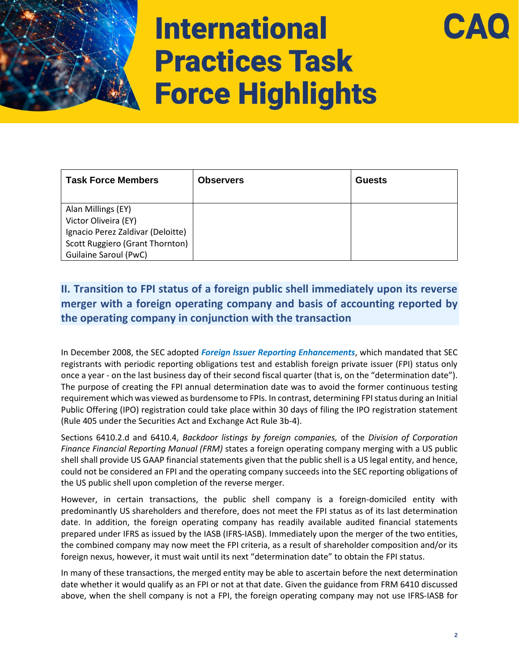

| <b>Task Force Members</b>         | <b>Observers</b> | <b>Guests</b> |
|-----------------------------------|------------------|---------------|
| Alan Millings (EY)                |                  |               |
| Victor Oliveira (EY)              |                  |               |
| Ignacio Perez Zaldivar (Deloitte) |                  |               |
| Scott Ruggiero (Grant Thornton)   |                  |               |
| <b>Guilaine Saroul (PwC)</b>      |                  |               |

## **II. Transition to FPI status of a foreign public shell immediately upon its reverse merger with a foreign operating company and basis of accounting reported by the operating company in conjunction with the transaction**

In December 2008, the SEC adopted *[Foreign Issuer Reporting Enhancements](https://www.sec.gov/rules/final/2008/33-8959.pdf)*, which mandated that SEC registrants with periodic reporting obligations test and establish foreign private issuer (FPI) status only once a year - on the last business day of their second fiscal quarter (that is, on the "determination date"). The purpose of creating the FPI annual determination date was to avoid the former continuous testing requirement which was viewed as burdensome to FPIs. In contrast, determining FPI status during an Initial Public Offering (IPO) registration could take place within 30 days of filing the IPO registration statement (Rule 405 under the Securities Act and Exchange Act Rule 3b-4).

Sections 6410.2.d and 6410.4, *Backdoor listings by foreign companies,* of the *Division of Corporation Finance Financial Reporting Manual (FRM)* states a foreign operating company merging with a US public shell shall provide US GAAP financial statements given that the public shell is a US legal entity, and hence, could not be considered an FPI and the operating company succeeds into the SEC reporting obligations of the US public shell upon completion of the reverse merger.

However, in certain transactions, the public shell company is a foreign-domiciled entity with predominantly US shareholders and therefore, does not meet the FPI status as of its last determination date. In addition, the foreign operating company has readily available audited financial statements prepared under IFRS as issued by the IASB (IFRS-IASB). Immediately upon the merger of the two entities, the combined company may now meet the FPI criteria, as a result of shareholder composition and/or its foreign nexus, however, it must wait until its next "determination date" to obtain the FPI status.

In many of these transactions, the merged entity may be able to ascertain before the next determination date whether it would qualify as an FPI or not at that date. Given the guidance from FRM 6410 discussed above, when the shell company is not a FPI, the foreign operating company may not use IFRS-IASB for

CA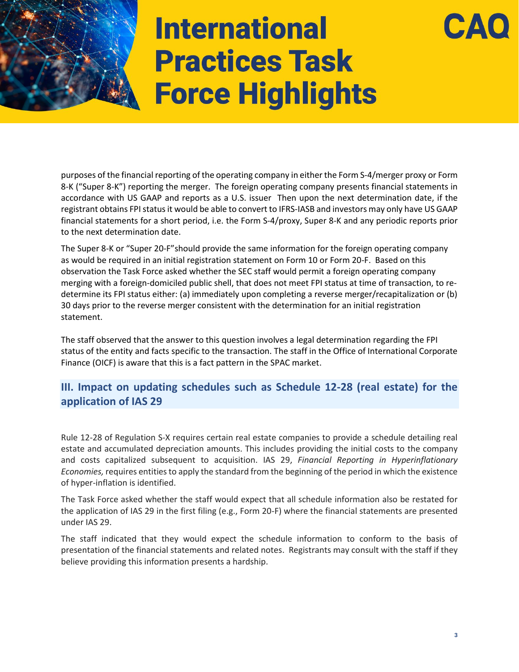purposes of the financial reporting of the operating company in either the Form S-4/merger proxy or Form 8-K ("Super 8-K") reporting the merger. The foreign operating company presents financial statements in accordance with US GAAP and reports as a U.S. issuer Then upon the next determination date, if the registrant obtains FPI statusit would be able to convert to IFRS-IASB and investors may only have US GAAP financial statements for a short period, i.e. the Form S-4/proxy, Super 8-K and any periodic reports prior to the next determination date.

The Super 8-K or "Super 20-F"should provide the same information for the foreign operating company as would be required in an initial registration statement on Form 10 or Form 20-F. Based on this observation the Task Force asked whether the SEC staff would permit a foreign operating company merging with a foreign-domiciled public shell, that does not meet FPI status at time of transaction, to redetermine its FPI status either: (a) immediately upon completing a reverse merger/recapitalization or (b) 30 days prior to the reverse merger consistent with the determination for an initial registration statement.

The staff observed that the answer to this question involves a legal determination regarding the FPI status of the entity and facts specific to the transaction. The staff in the Office of International Corporate Finance (OICF) is aware that this is a fact pattern in the SPAC market.

### **III. Impact on updating schedules such as Schedule 12-28 (real estate) for the application of IAS 29**

Rule 12-28 of Regulation S-X requires certain real estate companies to provide a schedule detailing real estate and accumulated depreciation amounts. This includes providing the initial costs to the company and costs capitalized subsequent to acquisition. IAS 29, *Financial Reporting in Hyperinflationary Economies,* requires entities to apply the standard from the beginning of the period in which the existence of hyper-inflation is identified.

The Task Force asked whether the staff would expect that all schedule information also be restated for the application of IAS 29 in the first filing (e.g., Form 20-F) where the financial statements are presented under IAS 29.

The staff indicated that they would expect the schedule information to conform to the basis of presentation of the financial statements and related notes. Registrants may consult with the staff if they believe providing this information presents a hardship.